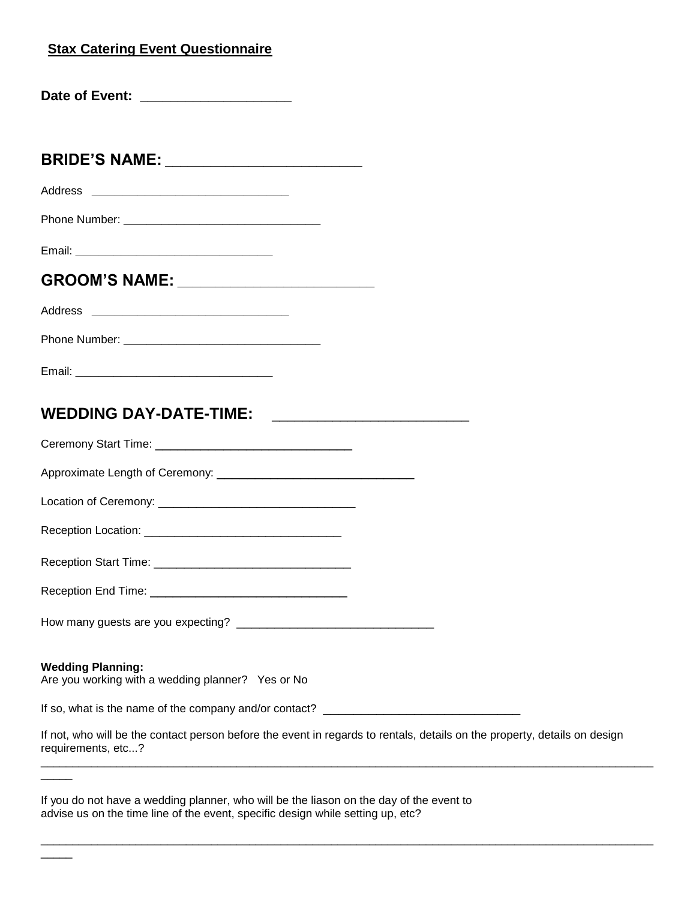#### **Stax Catering Event Questionnaire**

|  | Date of Event: |  |
|--|----------------|--|
|--|----------------|--|

**BRIDE'S NAME: \_\_\_\_\_\_\_\_\_\_\_\_\_\_\_\_\_\_\_\_\_\_\_\_\_\_**

Address **\_\_\_\_\_\_\_\_\_\_\_\_\_\_\_\_\_\_\_\_\_\_\_\_\_\_**

Phone Number: <u>\_\_\_\_\_\_\_\_\_\_\_\_\_\_\_\_\_\_\_\_\_\_\_\_\_\_\_\_</u>

Email: **\_\_\_\_\_\_\_\_\_\_\_\_\_\_\_\_\_\_\_\_\_\_\_\_\_\_**

## **GROOM'S NAME: \_\_\_\_\_\_\_\_\_\_\_\_\_\_\_\_\_\_\_\_\_\_\_\_\_\_**

Address **\_\_\_\_\_\_\_\_\_\_\_\_\_\_\_\_\_\_\_\_\_\_\_\_\_\_**

Email: **\_\_\_\_\_\_\_\_\_\_\_\_\_\_\_\_\_\_\_\_\_\_\_\_\_\_**

# **WEDDING DAY-DATE-TIME:** \_\_\_\_\_\_\_\_\_\_\_\_\_\_\_\_\_\_\_\_\_\_\_\_\_\_

Ceremony Start Time: \_\_\_\_\_\_\_\_\_\_\_\_\_\_\_\_\_\_\_\_\_\_\_\_\_\_

| Approximate Length of Ceremony: |  |
|---------------------------------|--|
|---------------------------------|--|

Location of Ceremony: \_\_\_\_\_\_\_\_\_\_\_\_\_\_\_\_\_\_\_\_\_\_\_\_\_\_

Reception Location: **Example 20** 

Reception Start Time: \_\_\_\_\_\_\_\_\_\_\_\_\_\_\_\_\_\_\_\_\_\_\_\_\_\_

Reception End Time: \_\_\_\_\_\_\_\_\_\_\_\_\_\_\_\_\_\_\_\_\_\_\_\_\_\_

How many guests are you expecting? \_\_\_\_\_\_\_\_\_\_\_\_\_\_\_\_\_\_\_\_\_\_\_\_\_\_

#### **Wedding Planning:**

 $\overline{\phantom{a}}$ 

 $\overline{\phantom{a}}$ 

Are you working with a wedding planner? Yes or No

If so, what is the name of the company and/or contact? \_\_\_\_\_\_\_\_\_\_\_\_\_\_\_\_\_\_\_\_\_\_\_\_\_

If not, who will be the contact person before the event in regards to rentals, details on the property, details on design requirements, etc...?  $\Box$ 

 $\Box$ 

If you do not have a wedding planner, who will be the liason on the day of the event to advise us on the time line of the event, specific design while setting up, etc?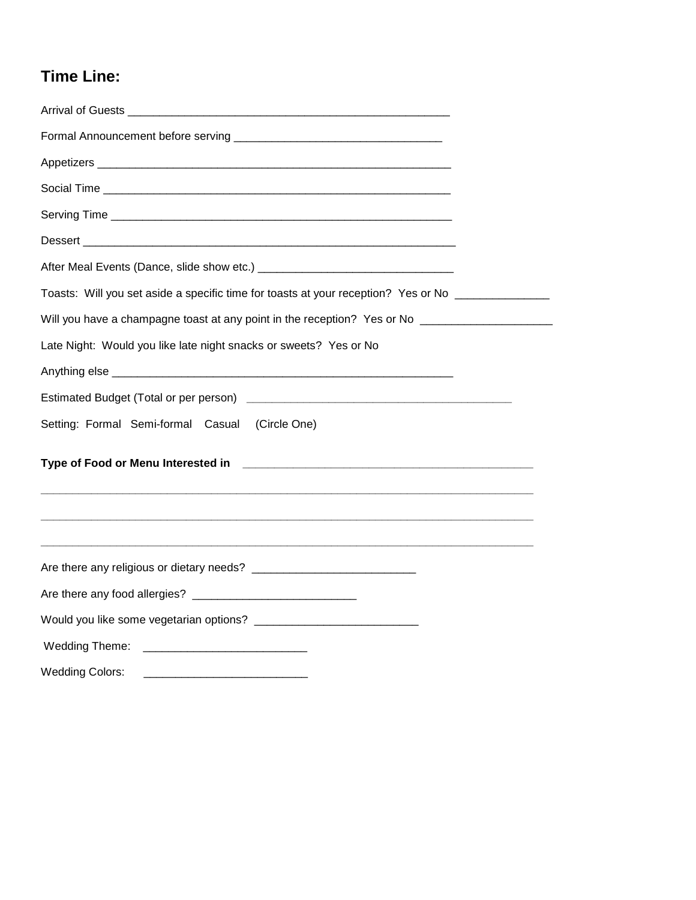# **Time Line:**

| Toasts: Will you set aside a specific time for toasts at your reception? Yes or No ________________  |
|------------------------------------------------------------------------------------------------------|
| Will you have a champagne toast at any point in the reception? Yes or No ___________________________ |
| Late Night: Would you like late night snacks or sweets? Yes or No                                    |
|                                                                                                      |
|                                                                                                      |
| Setting: Formal Semi-formal Casual (Circle One)                                                      |
|                                                                                                      |
|                                                                                                      |
|                                                                                                      |
|                                                                                                      |
|                                                                                                      |
|                                                                                                      |
| <b>Wedding Colors:</b>                                                                               |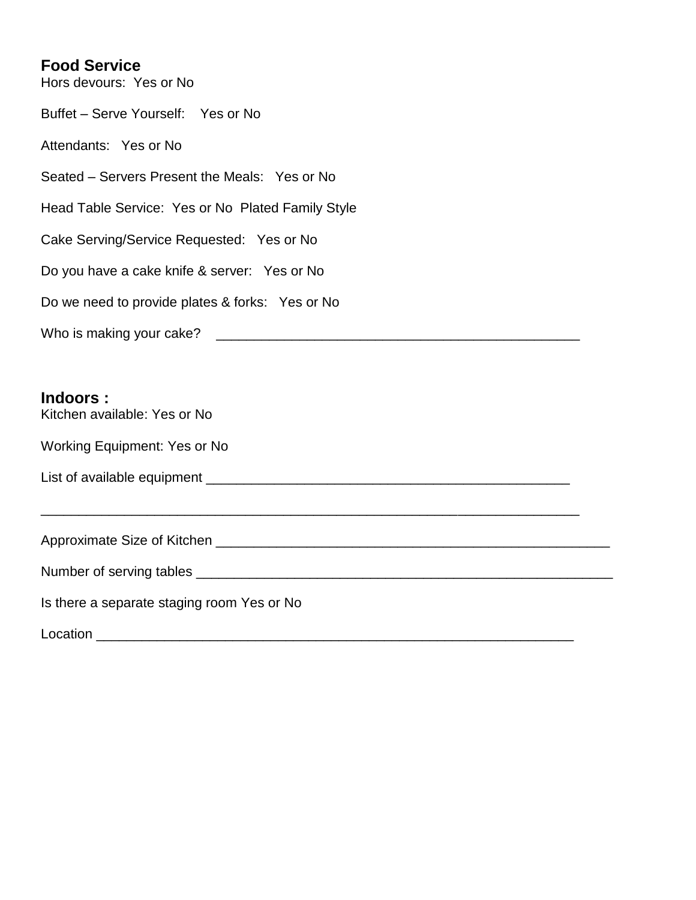### **Food Service**

Hors devours: Yes or No Buffet – Serve Yourself: Yes or No Attendants: Yes or No Seated – Servers Present the Meals: Yes or No Head Table Service: Yes or No Plated Family Style Cake Serving/Service Requested: Yes or No Do you have a cake knife & server: Yes or No Do we need to provide plates & forks: Yes or No Who is making your cake? \_\_\_\_\_\_\_\_\_\_\_\_\_\_\_\_\_\_\_\_\_\_\_\_\_\_\_\_\_\_\_\_\_\_\_\_\_\_\_\_\_\_\_\_\_\_\_\_

#### **Indoors :**

Kitchen available: Yes or No

Working Equipment: Yes or No

List of available equipment \_\_\_\_\_\_\_\_\_\_\_\_\_\_\_\_\_\_\_\_\_\_\_\_\_\_\_\_\_\_\_\_\_\_\_\_\_\_\_\_\_\_\_\_\_\_\_\_

Approximate Size of Kitchen **Later and Accept and Accept and Accept** and Accept and Accept and Accept and Accept

\_\_\_\_\_\_\_\_\_\_\_\_\_\_\_\_\_\_\_\_\_\_\_\_\_\_\_\_\_\_\_\_\_\_\_\_\_\_\_\_\_\_\_\_\_\_\_\_\_\_\_\_\_\_\_\_\_\_\_\_\_\_\_\_\_\_\_\_\_\_\_

Is there a separate staging room Yes or No

 $Location$